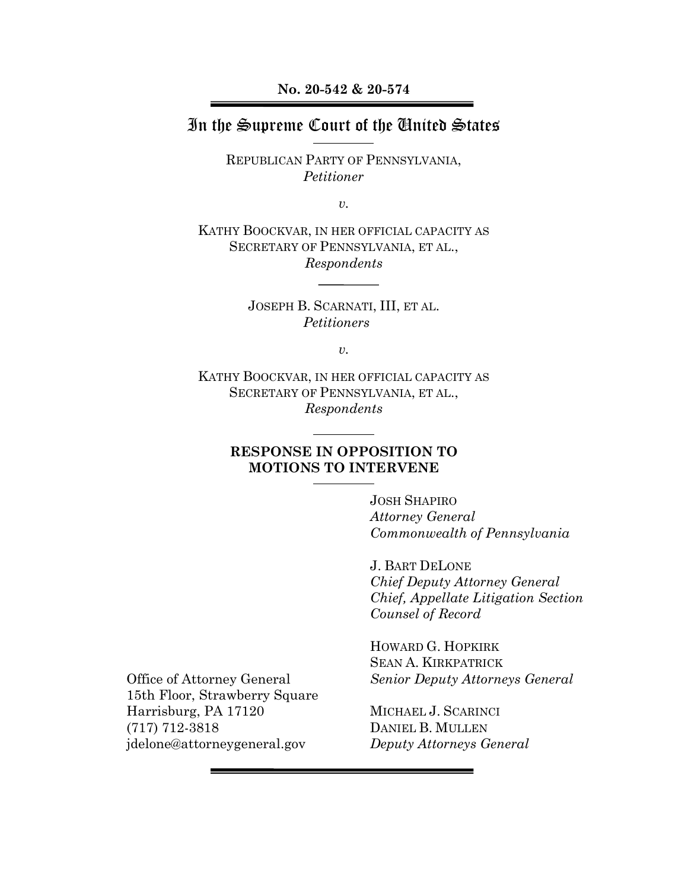**No. 20-542 & 20-574**

### In the Supreme Court of the United States

REPUBLICAN PARTY OF PENNSYLVANIA, *Petitioner*

*v.*

KATHY BOOCKVAR, IN HER OFFICIAL CAPACITY AS SECRETARY OF PENNSYLVANIA, ET AL., *Respondents*

> JOSEPH B. SCARNATI, III, ET AL. *Petitioners*

> > *v.*

KATHY BOOCKVAR, IN HER OFFICIAL CAPACITY AS SECRETARY OF PENNSYLVANIA, ET AL., *Respondents*

#### **RESPONSE IN OPPOSITION TO MOTIONS TO INTERVENE**

JOSH SHAPIRO *Attorney General Commonwealth of Pennsylvania*

J. BART DELONE *Chief Deputy Attorney General Chief, Appellate Litigation Section Counsel of Record*

HOWARD G. HOPKIRK SEAN A. KIRKPATRICK *Senior Deputy Attorneys General*

MICHAEL J. SCARINCI DANIEL B. MULLEN *Deputy Attorneys General*

Office of Attorney General 15th Floor, Strawberry Square Harrisburg, PA 17120 (717) 712-3818 jdelone@attorneygeneral.gov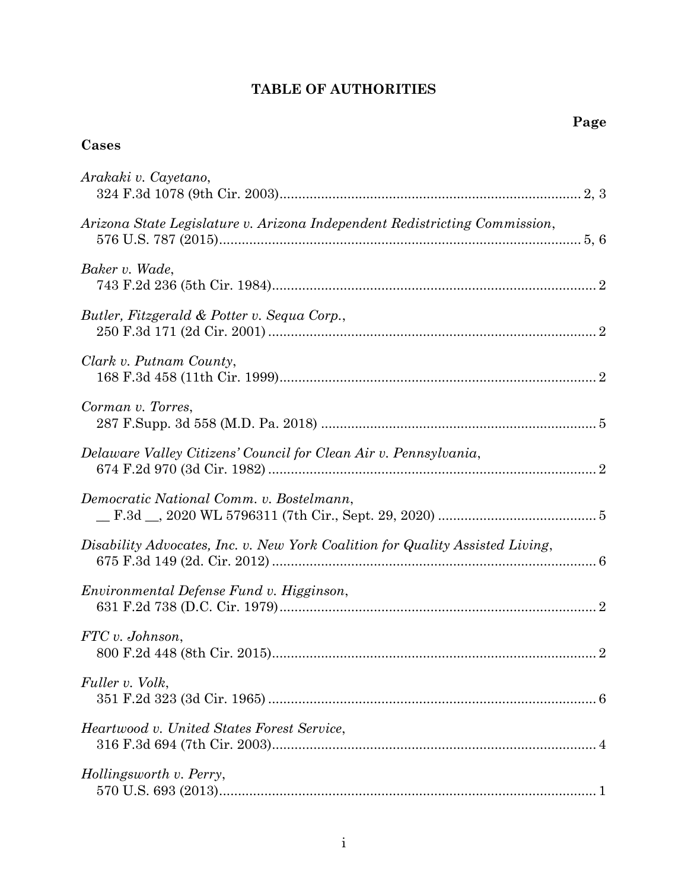## **TABLE OF AUTHORITIES**

# **Cases**

| Arakaki v. Cayetano,                                                          |
|-------------------------------------------------------------------------------|
| Arizona State Legislature v. Arizona Independent Redistricting Commission,    |
| Baker v. Wade,                                                                |
| Butler, Fitzgerald & Potter v. Sequa Corp.,                                   |
| Clark v. Putnam County,                                                       |
| Corman v. Torres,                                                             |
| Delaware Valley Citizens' Council for Clean Air v. Pennsylvania,              |
| Democratic National Comm. v. Bostelmann,                                      |
| Disability Advocates, Inc. v. New York Coalition for Quality Assisted Living, |
| Environmental Defense Fund v. Higginson,                                      |
| FTC v. Johnson,                                                               |
| Fuller v. Volk,                                                               |
| Heartwood v. United States Forest Service,                                    |
| Hollingsworth v. Perry,                                                       |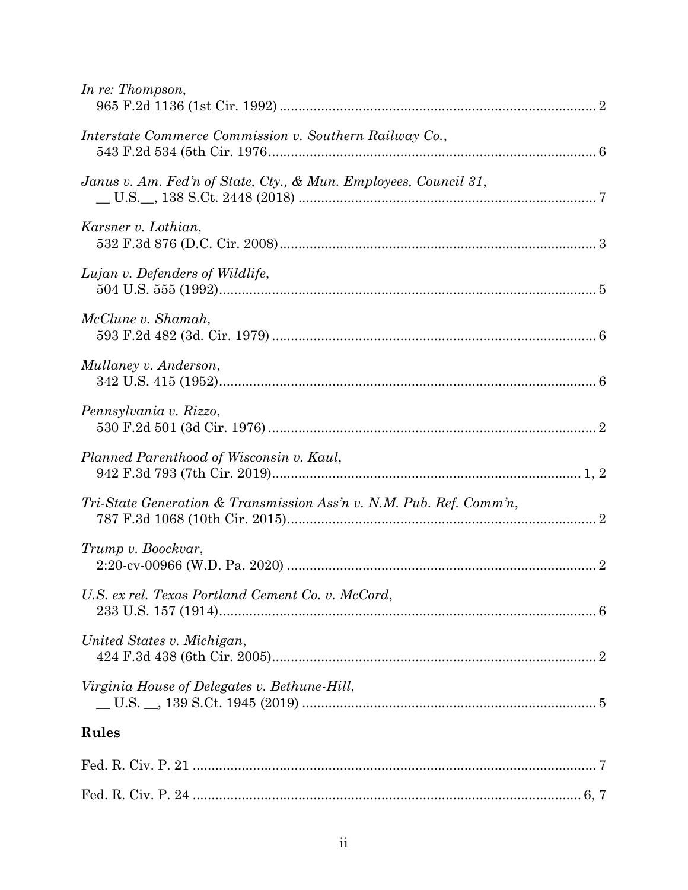| In re: Thompson,                                                    |  |
|---------------------------------------------------------------------|--|
| Interstate Commerce Commission v. Southern Railway Co.,             |  |
| Janus v. Am. Fed'n of State, Cty., & Mun. Employees, Council 31,    |  |
| Karsner v. Lothian,                                                 |  |
| Lujan v. Defenders of Wildlife,                                     |  |
| McClune v. Shamah,                                                  |  |
| Mullaney v. Anderson,                                               |  |
| Pennsylvania v. Rizzo,                                              |  |
| Planned Parenthood of Wisconsin v. Kaul,                            |  |
| Tri-State Generation & Transmission Ass'n v. N.M. Pub. Ref. Comm'n, |  |
| Trump v. Boockvar,                                                  |  |
| U.S. ex rel. Texas Portland Cement Co. v. McCord,                   |  |
| United States v. Michigan,                                          |  |
| Virginia House of Delegates v. Bethune-Hill,                        |  |
| Rules                                                               |  |
|                                                                     |  |
|                                                                     |  |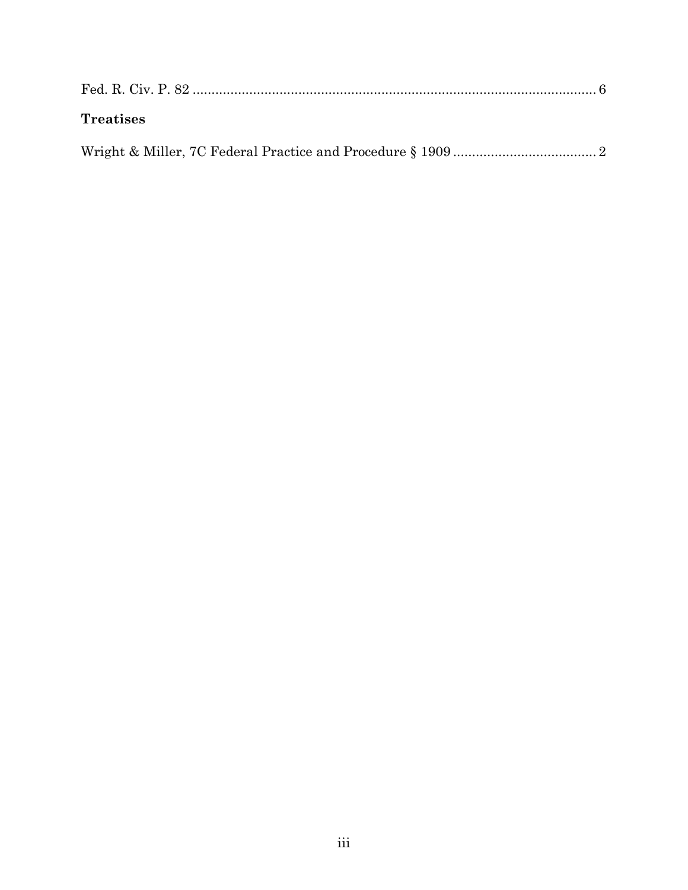| <b>Treatises</b> |  |
|------------------|--|
|                  |  |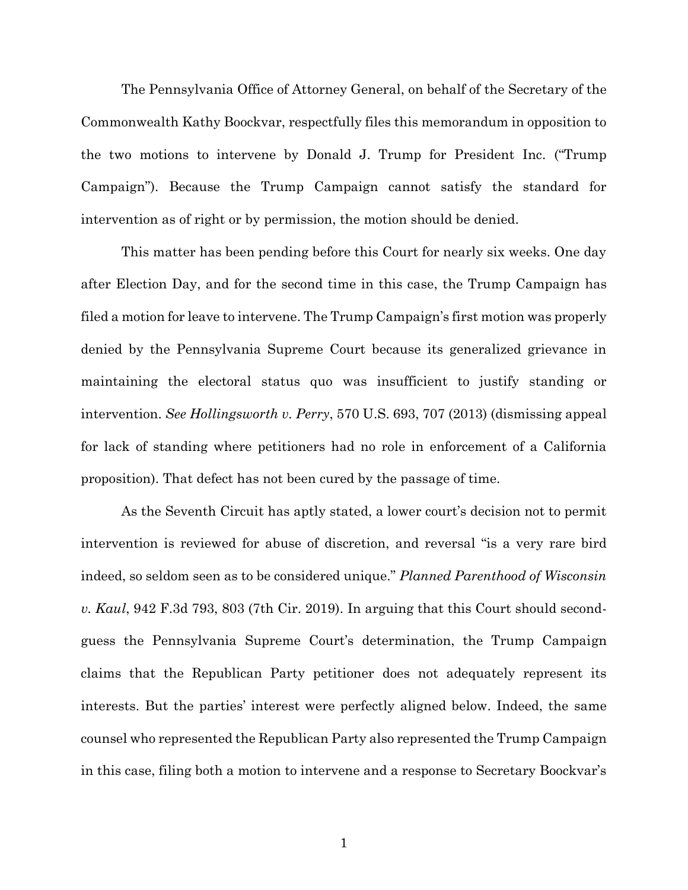The Pennsylvania Office of Attorney General, on behalf of the Secretary of the Commonwealth Kathy Boockvar, respectfully files this memorandum in opposition to the two motions to intervene by Donald J. Trump for President Inc. ("Trump Campaign"). Because the Trump Campaign cannot satisfy the standard for intervention as of right or by permission, the motion should be denied.

This matter has been pending before this Court for nearly six weeks. One day after Election Day, and for the second time in this case, the Trump Campaign has filed a motion for leave to intervene. The Trump Campaign's first motion was properly denied by the Pennsylvania Supreme Court because its generalized grievance in maintaining the electoral status quo was insufficient to justify standing or intervention. *See Hollingsworth v. Perry*, 570 U.S. 693, 707 (2013) (dismissing appeal for lack of standing where petitioners had no role in enforcement of a California proposition). That defect has not been cured by the passage of time.

As the Seventh Circuit has aptly stated, a lower court's decision not to permit intervention is reviewed for abuse of discretion, and reversal "is a very rare bird indeed, so seldom seen as to be considered unique." *Planned Parenthood of Wisconsin v. Kaul*, 942 F.3d 793, 803 (7th Cir. 2019). In arguing that this Court should secondguess the Pennsylvania Supreme Court's determination, the Trump Campaign claims that the Republican Party petitioner does not adequately represent its interests. But the parties' interest were perfectly aligned below. Indeed, the same counsel who represented the Republican Party also represented the Trump Campaign in this case, filing both a motion to intervene and a response to Secretary Boockvar's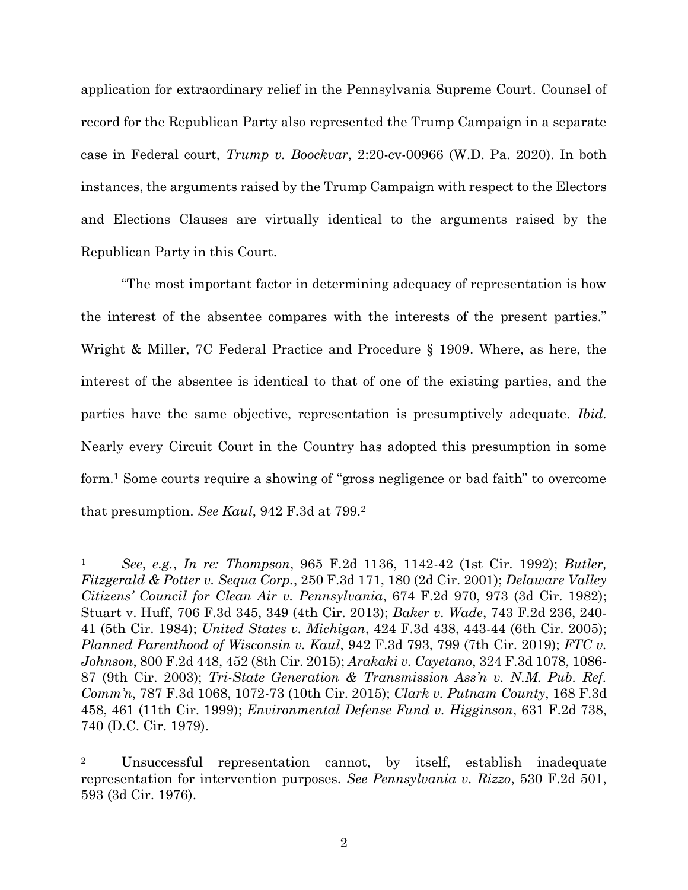application for extraordinary relief in the Pennsylvania Supreme Court. Counsel of record for the Republican Party also represented the Trump Campaign in a separate case in Federal court, *Trump v. Boockvar*, 2:20-cv-00966 (W.D. Pa. 2020). In both instances, the arguments raised by the Trump Campaign with respect to the Electors and Elections Clauses are virtually identical to the arguments raised by the Republican Party in this Court.

"The most important factor in determining adequacy of representation is how the interest of the absentee compares with the interests of the present parties." Wright & Miller, 7C Federal Practice and Procedure § 1909. Where, as here, the interest of the absentee is identical to that of one of the existing parties, and the parties have the same objective, representation is presumptively adequate. *Ibid.* Nearly every Circuit Court in the Country has adopted this presumption in some form.<sup>1</sup> Some courts require a showing of "gross negligence or bad faith" to overcome that presumption. *See Kaul*, 942 F.3d at 799.<sup>2</sup>

<sup>1</sup> *See*, *e.g.*, *In re: Thompson*, 965 F.2d 1136, 1142-42 (1st Cir. 1992); *Butler, Fitzgerald & Potter v. Sequa Corp.*, 250 F.3d 171, 180 (2d Cir. 2001); *Delaware Valley Citizens' Council for Clean Air v. Pennsylvania*, 674 F.2d 970, 973 (3d Cir. 1982); Stuart v. Huff, 706 F.3d 345, 349 (4th Cir. 2013); *Baker v. Wade*, 743 F.2d 236, 240- 41 (5th Cir. 1984); *United States v. Michigan*, 424 F.3d 438, 443-44 (6th Cir. 2005); *Planned Parenthood of Wisconsin v. Kaul*, 942 F.3d 793, 799 (7th Cir. 2019); *FTC v. Johnson*, 800 F.2d 448, 452 (8th Cir. 2015); *Arakaki v. Cayetano*, 324 F.3d 1078, 1086- 87 (9th Cir. 2003); *Tri-State Generation & Transmission Ass'n v. N.M. Pub. Ref. Comm'n*, 787 F.3d 1068, 1072-73 (10th Cir. 2015); *Clark v. Putnam County*, 168 F.3d 458, 461 (11th Cir. 1999); *Environmental Defense Fund v. Higginson*, 631 F.2d 738, 740 (D.C. Cir. 1979).

<sup>2</sup> Unsuccessful representation cannot, by itself, establish inadequate representation for intervention purposes. *See Pennsylvania v. Rizzo*, 530 F.2d 501, 593 (3d Cir. 1976).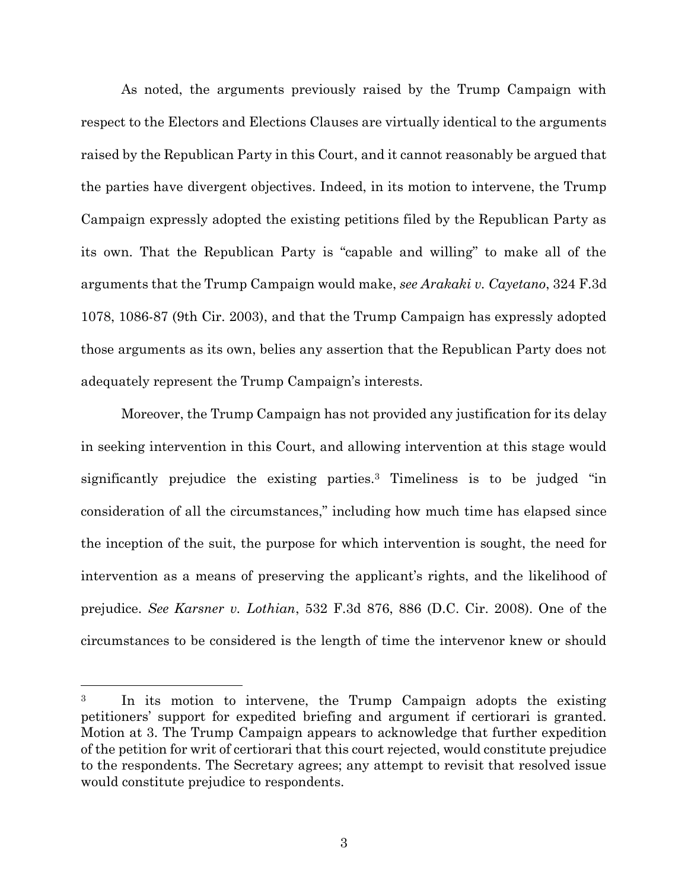As noted, the arguments previously raised by the Trump Campaign with respect to the Electors and Elections Clauses are virtually identical to the arguments raised by the Republican Party in this Court, and it cannot reasonably be argued that the parties have divergent objectives. Indeed, in its motion to intervene, the Trump Campaign expressly adopted the existing petitions filed by the Republican Party as its own. That the Republican Party is "capable and willing" to make all of the arguments that the Trump Campaign would make, *see Arakaki v. Cayetano*, 324 F.3d 1078, 1086-87 (9th Cir. 2003), and that the Trump Campaign has expressly adopted those arguments as its own, belies any assertion that the Republican Party does not adequately represent the Trump Campaign's interests.

Moreover, the Trump Campaign has not provided any justification for its delay in seeking intervention in this Court, and allowing intervention at this stage would significantly prejudice the existing parties.<sup>3</sup> Timeliness is to be judged "in consideration of all the circumstances," including how much time has elapsed since the inception of the suit, the purpose for which intervention is sought, the need for intervention as a means of preserving the applicant's rights, and the likelihood of prejudice. *See Karsner v. Lothian*, 532 F.3d 876, 886 (D.C. Cir. 2008). One of the circumstances to be considered is the length of time the intervenor knew or should

<sup>3</sup> In its motion to intervene, the Trump Campaign adopts the existing petitioners' support for expedited briefing and argument if certiorari is granted. Motion at 3. The Trump Campaign appears to acknowledge that further expedition of the petition for writ of certiorari that this court rejected, would constitute prejudice to the respondents. The Secretary agrees; any attempt to revisit that resolved issue would constitute prejudice to respondents.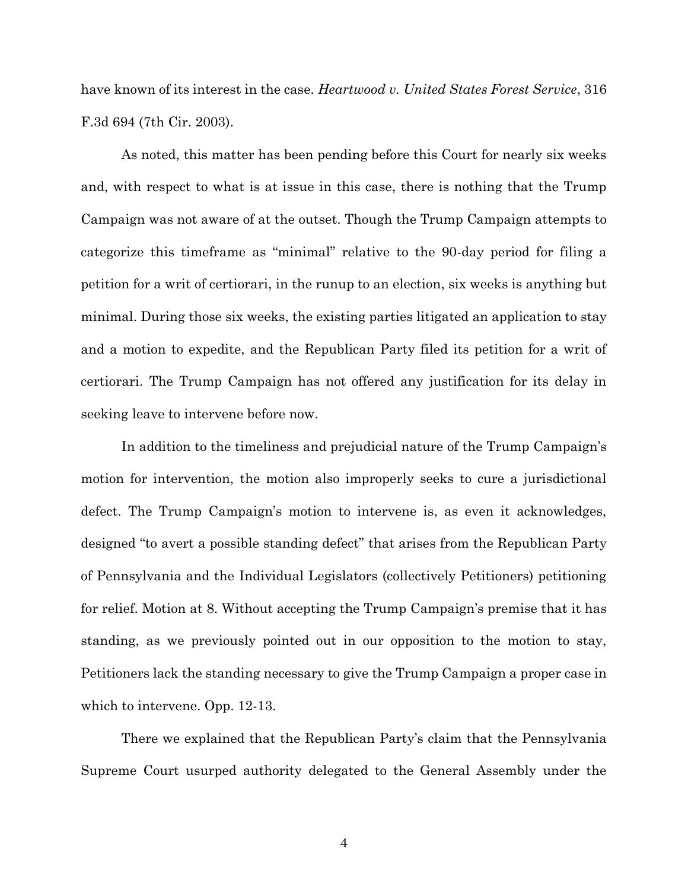have known of its interest in the case. *Heartwood v. United States Forest Service*, 316 F.3d 694 (7th Cir. 2003).

As noted, this matter has been pending before this Court for nearly six weeks and, with respect to what is at issue in this case, there is nothing that the Trump Campaign was not aware of at the outset. Though the Trump Campaign attempts to categorize this timeframe as "minimal" relative to the 90-day period for filing a petition for a writ of certiorari, in the runup to an election, six weeks is anything but minimal. During those six weeks, the existing parties litigated an application to stay and a motion to expedite, and the Republican Party filed its petition for a writ of certiorari. The Trump Campaign has not offered any justification for its delay in seeking leave to intervene before now.

In addition to the timeliness and prejudicial nature of the Trump Campaign's motion for intervention, the motion also improperly seeks to cure a jurisdictional defect. The Trump Campaign's motion to intervene is, as even it acknowledges, designed "to avert a possible standing defect" that arises from the Republican Party of Pennsylvania and the Individual Legislators (collectively Petitioners) petitioning for relief. Motion at 8. Without accepting the Trump Campaign's premise that it has standing, as we previously pointed out in our opposition to the motion to stay, Petitioners lack the standing necessary to give the Trump Campaign a proper case in which to intervene. Opp. 12-13.

There we explained that the Republican Party's claim that the Pennsylvania Supreme Court usurped authority delegated to the General Assembly under the

4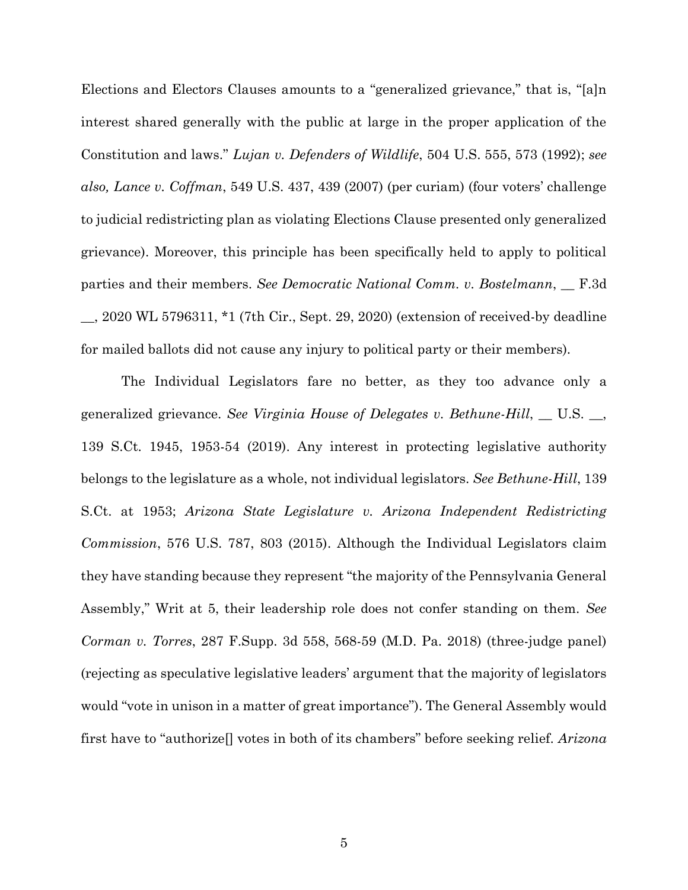Elections and Electors Clauses amounts to a "generalized grievance," that is, "[a]n interest shared generally with the public at large in the proper application of the Constitution and laws." *Lujan v. Defenders of Wildlife*, 504 U.S. 555, 573 (1992); *see also, Lance v. Coffman*, 549 U.S. 437, 439 (2007) (per curiam) (four voters' challenge to judicial redistricting plan as violating Elections Clause presented only generalized grievance). Moreover, this principle has been specifically held to apply to political parties and their members. *See Democratic National Comm. v. Bostelmann*, \_\_ F.3d \_\_, 2020 WL 5796311, \*1 (7th Cir., Sept. 29, 2020) (extension of received-by deadline for mailed ballots did not cause any injury to political party or their members).

The Individual Legislators fare no better, as they too advance only a generalized grievance. *See Virginia House of Delegates v. Bethune-Hill*, \_\_ U.S. \_\_, 139 S.Ct. 1945, 1953-54 (2019). Any interest in protecting legislative authority belongs to the legislature as a whole, not individual legislators. *See Bethune-Hill*, 139 S.Ct. at 1953; *Arizona State Legislature v. Arizona Independent Redistricting Commission*, 576 U.S. 787, 803 (2015). Although the Individual Legislators claim they have standing because they represent "the majority of the Pennsylvania General Assembly," Writ at 5, their leadership role does not confer standing on them. *See Corman v. Torres*, 287 F.Supp. 3d 558, 568-59 (M.D. Pa. 2018) (three-judge panel) (rejecting as speculative legislative leaders' argument that the majority of legislators would "vote in unison in a matter of great importance"). The General Assembly would first have to "authorize[] votes in both of its chambers" before seeking relief. *Arizona*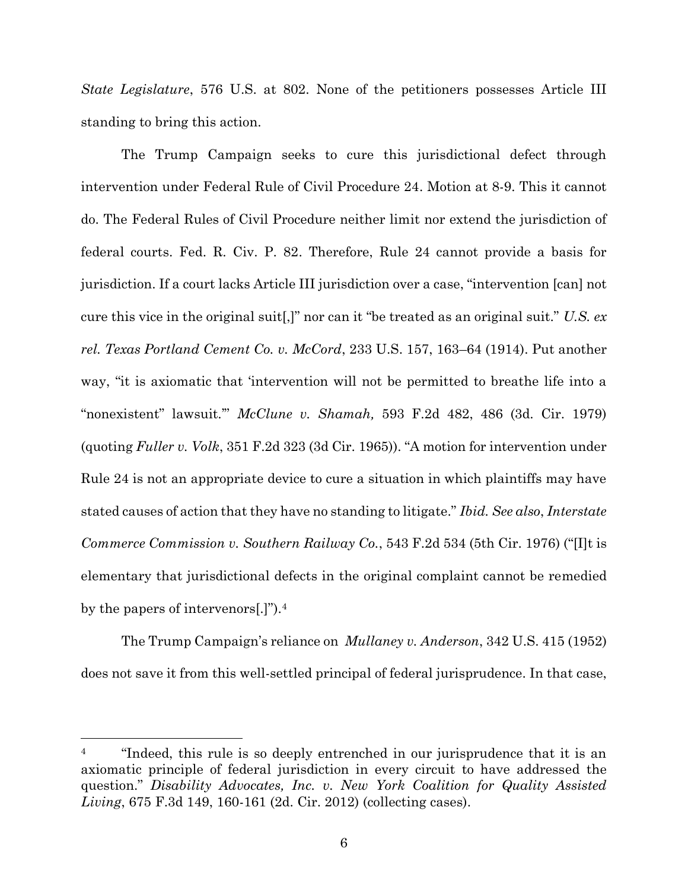*State Legislature*, 576 U.S. at 802. None of the petitioners possesses Article III standing to bring this action.

The Trump Campaign seeks to cure this jurisdictional defect through intervention under Federal Rule of Civil Procedure 24. Motion at 8-9. This it cannot do. The Federal Rules of Civil Procedure neither limit nor extend the jurisdiction of federal courts. Fed. R. Civ. P. 82. Therefore, Rule 24 cannot provide a basis for jurisdiction. If a court lacks Article III jurisdiction over a case, "intervention [can] not cure this vice in the original suit[,]" nor can it "be treated as an original suit." *U.S. ex rel. Texas Portland Cement Co. v. McCord*, 233 U.S. 157, 163–64 (1914). Put another way, "it is axiomatic that 'intervention will not be permitted to breathe life into a "nonexistent" lawsuit.'" *McClune v. Shamah,* 593 F.2d 482, 486 (3d. Cir. 1979) (quoting *Fuller v. Volk*, 351 F.2d 323 (3d Cir. 1965)). "A motion for intervention under Rule 24 is not an appropriate device to cure a situation in which plaintiffs may have stated causes of action that they have no standing to litigate." *Ibid. See also*, *Interstate Commerce Commission v. Southern Railway Co.*, 543 F.2d 534 (5th Cir. 1976) ("[I]t is elementary that jurisdictional defects in the original complaint cannot be remedied by the papers of intervenors[.]").<sup>4</sup>

The Trump Campaign's reliance on *Mullaney v. Anderson*, 342 U.S. 415 (1952) does not save it from this well-settled principal of federal jurisprudence. In that case,

<sup>&</sup>lt;sup>4</sup> "Indeed, this rule is so deeply entrenched in our jurisprudence that it is an axiomatic principle of federal jurisdiction in every circuit to have addressed the question." *Disability Advocates, Inc. v. New York Coalition for Quality Assisted Living*, 675 F.3d 149, 160-161 (2d. Cir. 2012) (collecting cases).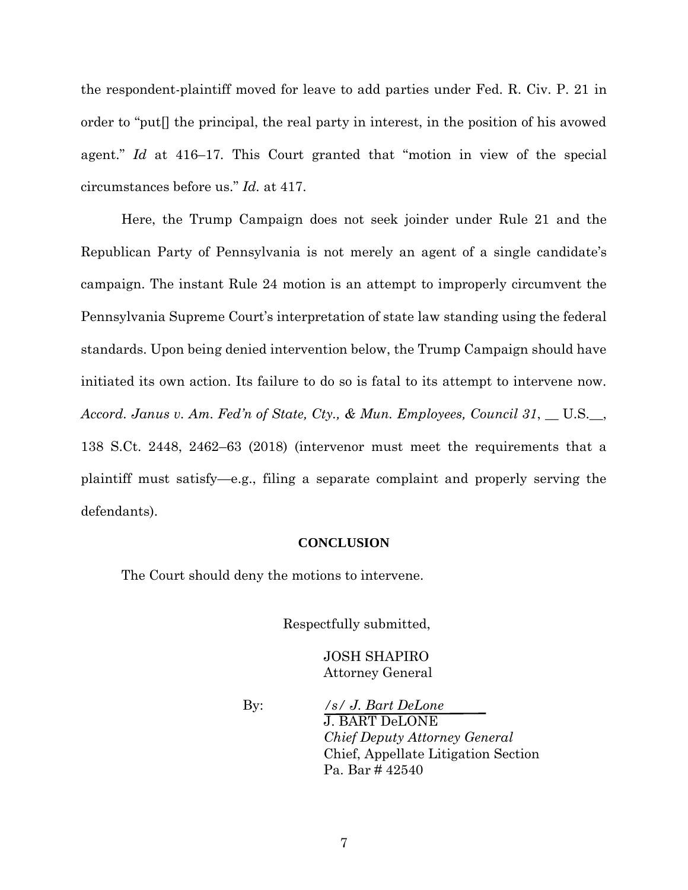the respondent-plaintiff moved for leave to add parties under Fed. R. Civ. P. 21 in order to "put[] the principal, the real party in interest, in the position of his avowed agent." *Id* at 416–17*.* This Court granted that "motion in view of the special circumstances before us." *Id.* at 417.

Here, the Trump Campaign does not seek joinder under Rule 21 and the Republican Party of Pennsylvania is not merely an agent of a single candidate's campaign. The instant Rule 24 motion is an attempt to improperly circumvent the Pennsylvania Supreme Court's interpretation of state law standing using the federal standards. Upon being denied intervention below, the Trump Campaign should have initiated its own action. Its failure to do so is fatal to its attempt to intervene now. *Accord. Janus v. Am. Fed'n of State, Cty., & Mun. Employees, Council 31*, \_\_ U.S.\_\_, 138 S.Ct. 2448, 2462–63 (2018) (intervenor must meet the requirements that a plaintiff must satisfy—e.g., filing a separate complaint and properly serving the defendants).

#### **CONCLUSION**

The Court should deny the motions to intervene.

Respectfully submitted,

JOSH SHAPIRO Attorney General

By: */s/ J. Bart DeLone* J. BART DeLONE *Chief Deputy Attorney General* Chief, Appellate Litigation Section Pa. Bar # 42540